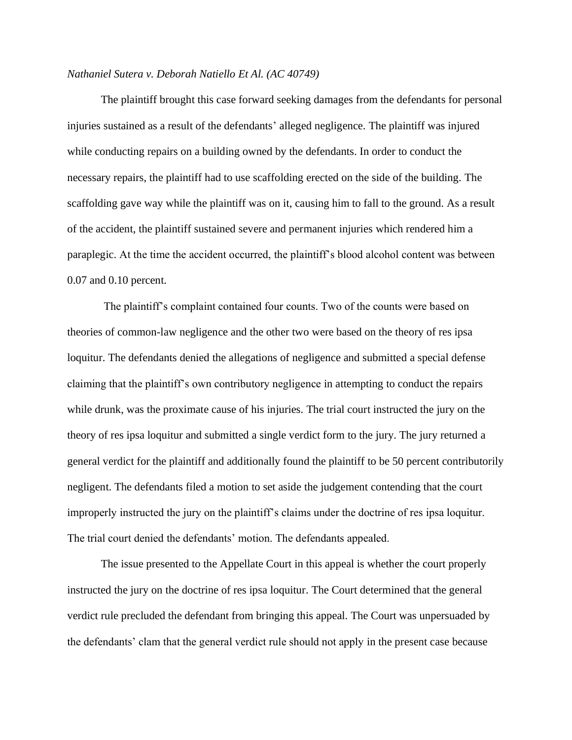## *Nathaniel Sutera v. Deborah Natiello Et Al. (AC 40749)*

The plaintiff brought this case forward seeking damages from the defendants for personal injuries sustained as a result of the defendants' alleged negligence. The plaintiff was injured while conducting repairs on a building owned by the defendants. In order to conduct the necessary repairs, the plaintiff had to use scaffolding erected on the side of the building. The scaffolding gave way while the plaintiff was on it, causing him to fall to the ground. As a result of the accident, the plaintiff sustained severe and permanent injuries which rendered him a paraplegic. At the time the accident occurred, the plaintiff's blood alcohol content was between 0.07 and 0.10 percent.

The plaintiff's complaint contained four counts. Two of the counts were based on theories of common-law negligence and the other two were based on the theory of res ipsa loquitur. The defendants denied the allegations of negligence and submitted a special defense claiming that the plaintiff's own contributory negligence in attempting to conduct the repairs while drunk, was the proximate cause of his injuries. The trial court instructed the jury on the theory of res ipsa loquitur and submitted a single verdict form to the jury. The jury returned a general verdict for the plaintiff and additionally found the plaintiff to be 50 percent contributorily negligent. The defendants filed a motion to set aside the judgement contending that the court improperly instructed the jury on the plaintiff's claims under the doctrine of res ipsa loquitur. The trial court denied the defendants' motion. The defendants appealed.

The issue presented to the Appellate Court in this appeal is whether the court properly instructed the jury on the doctrine of res ipsa loquitur. The Court determined that the general verdict rule precluded the defendant from bringing this appeal. The Court was unpersuaded by the defendants' clam that the general verdict rule should not apply in the present case because